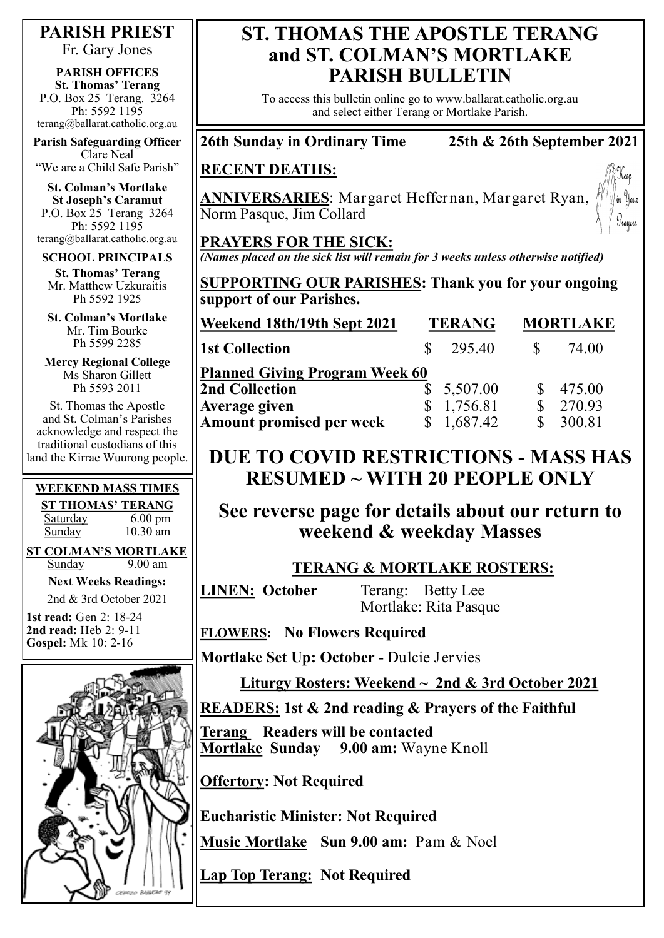**PARISH PRIEST**

Fr. Gary Jones

**PARISH OFFICES St. Thomas' Terang** P.O. Box 25 Terang. 3264 Ph: 5592 1195 terang@ballarat.catholic.org.au

**Parish Safeguarding Officer** Clare Neal "We are a Child Safe Parish"

**St. Colman's Mortlake St Joseph's Caramut** P.O. Box 25 Terang 3264 Ph: 5592 1195 terang@ballarat.catholic.org.au

#### **SCHOOL PRINCIPALS**

**St. Thomas' Terang** Mr. Matthew Uzkuraitis Ph 5592 1925

**St. Colman's Mortlake** Mr. Tim Bourke Ph 5599 2285

**Mercy Regional College** Ms Sharon Gillett Ph 5593 2011

St. Thomas the Apostle and St. Colman's Parishes acknowledge and respect the traditional custodians of this land the Kirrae Wuurong people.

#### **WEEKEND MASS TIMES**

**ST THOMAS' TERANG** Saturday 6.00 pm Sunday 10.30 am

**ST COLMAN'S MORTLAKE** Sunday 9.00 am

**Next Weeks Readings:**

2nd & 3rd October 2021 **1st read:** Gen 2: 18-24

**2nd read:** Heb 2: 9-11 **Gospel:** Mk 10: 2-16



## **ST. THOMAS THE APOSTLE TERANG and ST. COLMAN'S MORTLAKE PARISH BULLETIN**

To access this bulletin online go to www.ballarat.catholic.org.au and select either Terang or Mortlake Parish.

## **26th Sunday in Ordinary Time 25th & 26th September 2021**

#### **RECENT DEATHS:**

**ANNIVERSARIES**: Margaret Heffernan, Margaret Ryan, Norm Pasque, Jim Collard



#### **PRAYERS FOR THE SICK:**

*(Names placed on the sick list will remain for 3 weeks unless otherwise notified)*

**SUPPORTING OUR PARISHES: Thank you for your ongoing support of our Parishes.** 

| Weekend 18th/19th Sept 2021           | <b>TERANG</b> | <b>MORTLAKE</b> |
|---------------------------------------|---------------|-----------------|
| <b>1st Collection</b>                 | 295.40        | 74.00           |
| <b>Planned Giving Program Week 60</b> |               |                 |
| <b>2nd Collection</b>                 | \$5,507.00    | \$475.00        |
| <b>Average given</b>                  | 1,756.81<br>S | 270.93          |
| <b>Amount promised per week</b>       | \$1,687.42    | 300.81          |

## **DUE TO COVID RESTRICTIONS - MASS HAS RESUMED ~ WITH 20 PEOPLE ONLY**

**See reverse page for details about our return to weekend & weekday Masses** 

#### **TERANG & MORTLAKE ROSTERS:**

**LINEN: October** Terang: Betty Lee Mortlake: Rita Pasque

**FLOWERS: No Flowers Required**

**Mortlake Set Up: October -** Dulcie Jervies

**Liturgy Rosters: Weekend ~ 2nd & 3rd October 2021**

## **READERS: 1st & 2nd reading & Prayers of the Faithful**

**Terang Readers will be contacted Mortlake Sunday 9.00 am:** Wayne Knoll

**Offertory: Not Required**

**Eucharistic Minister: Not Required**

**Music Mortlake Sun 9.00 am:** Pam & Noel

**Lap Top Terang: Not Required**